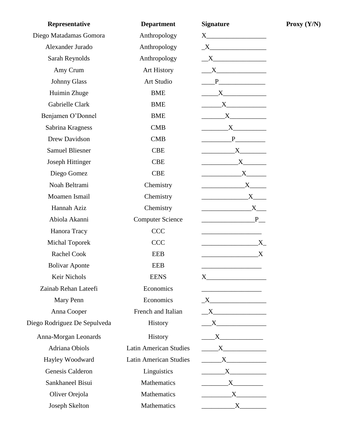| Representative               | <b>Department</b>             | <b>Signature</b>                                                                                                                                                                                                                                                                                                                                                           |
|------------------------------|-------------------------------|----------------------------------------------------------------------------------------------------------------------------------------------------------------------------------------------------------------------------------------------------------------------------------------------------------------------------------------------------------------------------|
| Diego Matadamas Gomora       | Anthropology                  |                                                                                                                                                                                                                                                                                                                                                                            |
| Alexander Jurado             | Anthropology                  | $\underline{\begin{picture}(15,15) \put(0,0){\dashbox{0.5}(10,0){ }} \put(15,0){\dashbox{0.5}(10,0){ }} \put(15,0){\dashbox{0.5}(10,0){ }} \put(15,0){\dashbox{0.5}(10,0){ }} \put(15,0){\dashbox{0.5}(10,0){ }} \put(15,0){\dashbox{0.5}(10,0){ }} \put(15,0){\dashbox{0.5}(10,0){ }} \put(15,0){\dashbox{0.5}(10,0){ }} \put(15,0){\dashbox{0.5}(10,0){ }} \put(15,0){\$ |
| Sarah Reynolds               | Anthropology                  |                                                                                                                                                                                                                                                                                                                                                                            |
| Amy Crum                     | Art History                   | $\mathbf{X}$                                                                                                                                                                                                                                                                                                                                                               |
| <b>Johnny Glass</b>          | Art Studio                    |                                                                                                                                                                                                                                                                                                                                                                            |
| Huimin Zhuge                 | <b>BME</b>                    | $\begin{array}{c}\nX\n\end{array}$                                                                                                                                                                                                                                                                                                                                         |
| Gabrielle Clark              | <b>BME</b>                    | $\overline{\textbf{X}}$                                                                                                                                                                                                                                                                                                                                                    |
| Benjamen O'Donnel            | <b>BME</b>                    | $\overline{\text{X}}$                                                                                                                                                                                                                                                                                                                                                      |
| Sabrina Kragness             | <b>CMB</b>                    |                                                                                                                                                                                                                                                                                                                                                                            |
| Drew Davidson                | <b>CMB</b>                    | $\begin{tabular}{c} \multicolumn{2}{c }{\textbf{P}} \end{tabular}$                                                                                                                                                                                                                                                                                                         |
| <b>Samuel Bliesner</b>       | <b>CBE</b>                    | $\overbrace{\text{X}}$                                                                                                                                                                                                                                                                                                                                                     |
| <b>Joseph Hittinger</b>      | <b>CBE</b>                    | $\mathbf{X}$                                                                                                                                                                                                                                                                                                                                                               |
| Diego Gomez                  | <b>CBE</b>                    | $\begin{array}{c} \begin{array}{c} \text{---} \\ \text{---} \end{array} \end{array}$                                                                                                                                                                                                                                                                                       |
| Noah Beltrami                | Chemistry                     | X                                                                                                                                                                                                                                                                                                                                                                          |
| Moamen Ismail                | Chemistry                     |                                                                                                                                                                                                                                                                                                                                                                            |
| Hannah Aziz                  | Chemistry                     | $\mathbf{X}$ and $\mathbf{X}$ and $\mathbf{X}$ and $\mathbf{X}$ and $\mathbf{X}$ and $\mathbf{X}$ and $\mathbf{X}$ and $\mathbf{X}$ and $\mathbf{X}$ and $\mathbf{X}$ and $\mathbf{X}$ and $\mathbf{X}$ and $\mathbf{X}$ and $\mathbf{X}$ and $\mathbf{X}$ and $\mathbf{X}$ and $\mathbf{X}$ and                                                                           |
| Abiola Akanni                | <b>Computer Science</b>       | $\begin{array}{cccccccccc}\n & & & & & & \textbf{P}\n\end{array}$                                                                                                                                                                                                                                                                                                          |
| Hanora Tracy                 | <b>CCC</b>                    |                                                                                                                                                                                                                                                                                                                                                                            |
| <b>Michal Toporek</b>        | <b>CCC</b>                    |                                                                                                                                                                                                                                                                                                                                                                            |
| Rachel Cook                  | <b>EEB</b>                    | $\boldsymbol{\mathrm{X}}$                                                                                                                                                                                                                                                                                                                                                  |
| <b>Bolivar Aponte</b>        | <b>EEB</b>                    |                                                                                                                                                                                                                                                                                                                                                                            |
| Keir Nichols                 | <b>EENS</b>                   |                                                                                                                                                                                                                                                                                                                                                                            |
| Zainab Rehan Lateefi         | Economics                     | <u> 1989 - Johann Barbara, martin a</u>                                                                                                                                                                                                                                                                                                                                    |
| Mary Penn                    | Economics                     | $\mathbf{X}$                                                                                                                                                                                                                                                                                                                                                               |
| Anna Cooper                  | French and Italian            | $\sqrt{X}$                                                                                                                                                                                                                                                                                                                                                                 |
| Diego Rodriguez De Sepulveda | History                       | $X$ and $X$ and $X$ and $X$ and $X$ and $X$ and $X$ and $X$ and $X$ and $X$ and $X$ and $X$ and $X$ and $X$ and $X$ and $X$ and $X$ and $X$ and $X$ and $X$ and $X$ and $X$ and $X$ and $X$ and $X$ and $X$ and $X$ and $X$ a                                                                                                                                              |
| Anna-Morgan Leonards         | History                       |                                                                                                                                                                                                                                                                                                                                                                            |
| Adriana Obiols               | <b>Latin American Studies</b> | $X$ and $X$ and $X$ and $X$ and $X$ and $X$ and $X$ and $X$ and $X$ and $X$ and $X$ and $X$ and $X$ and $X$ and $X$ and $X$ and $X$ and $X$ and $X$ and $X$ and $X$ and $X$ and $X$ and $X$ and $X$ and $X$ and $X$ and $X$ a                                                                                                                                              |
| Hayley Woodward              | <b>Latin American Studies</b> | $\begin{array}{c} \begin{array}{c} \text{---} \\ \text{---} \end{array} \end{array}$                                                                                                                                                                                                                                                                                       |
| Genesis Calderon             | Linguistics                   | $\mathbf{X}$                                                                                                                                                                                                                                                                                                                                                               |
| Sankhaneel Bisui             | Mathematics                   | $\mathbf{X}$                                                                                                                                                                                                                                                                                                                                                               |
| Oliver Orejola               | Mathematics                   |                                                                                                                                                                                                                                                                                                                                                                            |
| Joseph Skelton               | Mathematics                   |                                                                                                                                                                                                                                                                                                                                                                            |

**Proxy (Y/N)**